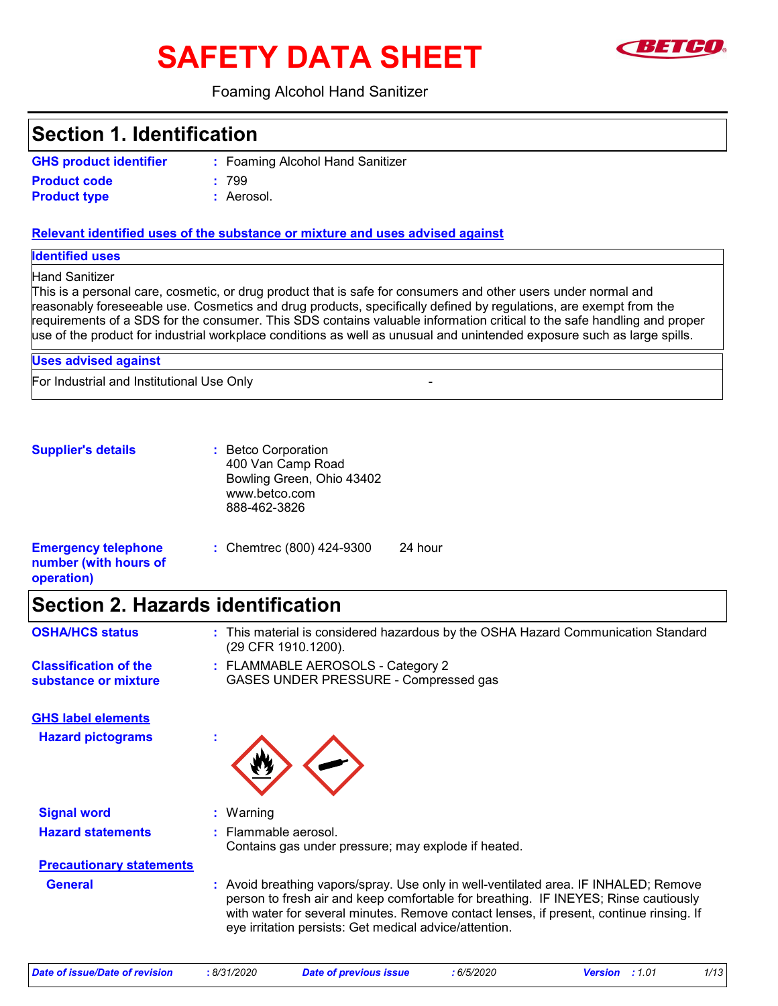# **SAFETY DATA SHEET**



#### Foaming Alcohol Hand Sanitizer

## **Section 1. Identification**

| <b>GHS product identifier</b> | : Foaming Alco |
|-------------------------------|----------------|
| <b>Product code</b>           | : 799          |
| <b>Product type</b>           | : Aerosol.     |

ming Alcohol Hand Sanitizer osol.

#### **Relevant identified uses of the substance or mixture and uses advised against**

**Identified uses**

#### Hand Sanitizer

This is a personal care, cosmetic, or drug product that is safe for consumers and other users under normal and reasonably foreseeable use. Cosmetics and drug products, specifically defined by regulations, are exempt from the requirements of a SDS for the consumer. This SDS contains valuable information critical to the safe handling and proper use of the product for industrial workplace conditions as well as unusual and unintended exposure such as large spills.

For Industrial and Institutional Use Only - **Uses advised against**

**Supplier's details :** Betco Corporation 400 Van Camp Road Bowling Green, Ohio 43402 www.betco.com 888-462-3826

| <b>Emergency telephone</b> | : Chemtrec $(800)$ 424-9300 | 24 hour |
|----------------------------|-----------------------------|---------|
| number (with hours of      |                             |         |
| operation)                 |                             |         |

# **Section 2. Hazards identification**

| <b>OSHA/HCS status</b>                               | : This material is considered hazardous by the OSHA Hazard Communication Standard<br>(29 CFR 1910.1200).                                                                                                                                                               |
|------------------------------------------------------|------------------------------------------------------------------------------------------------------------------------------------------------------------------------------------------------------------------------------------------------------------------------|
| <b>Classification of the</b><br>substance or mixture | : FLAMMABLE AEROSOLS - Category 2<br>GASES UNDER PRESSURE - Compressed gas                                                                                                                                                                                             |
| <b>GHS label elements</b>                            |                                                                                                                                                                                                                                                                        |
| <b>Hazard pictograms</b>                             |                                                                                                                                                                                                                                                                        |
| <b>Signal word</b>                                   | $:$ Warning                                                                                                                                                                                                                                                            |
| <b>Hazard statements</b>                             | $:$ Flammable aerosol.<br>Contains gas under pressure; may explode if heated.                                                                                                                                                                                          |
| <b>Precautionary statements</b>                      |                                                                                                                                                                                                                                                                        |
| <b>General</b>                                       | : Avoid breathing vapors/spray. Use only in well-ventilated area. IF INHALED; Remove<br>person to fresh air and keep comfortable for breathing. IF INEYES; Rinse cautiously<br>with water for several minutes. Remove contact lenses, if present, continue rinsing. If |

eye irritation persists: Get medical advice/attention.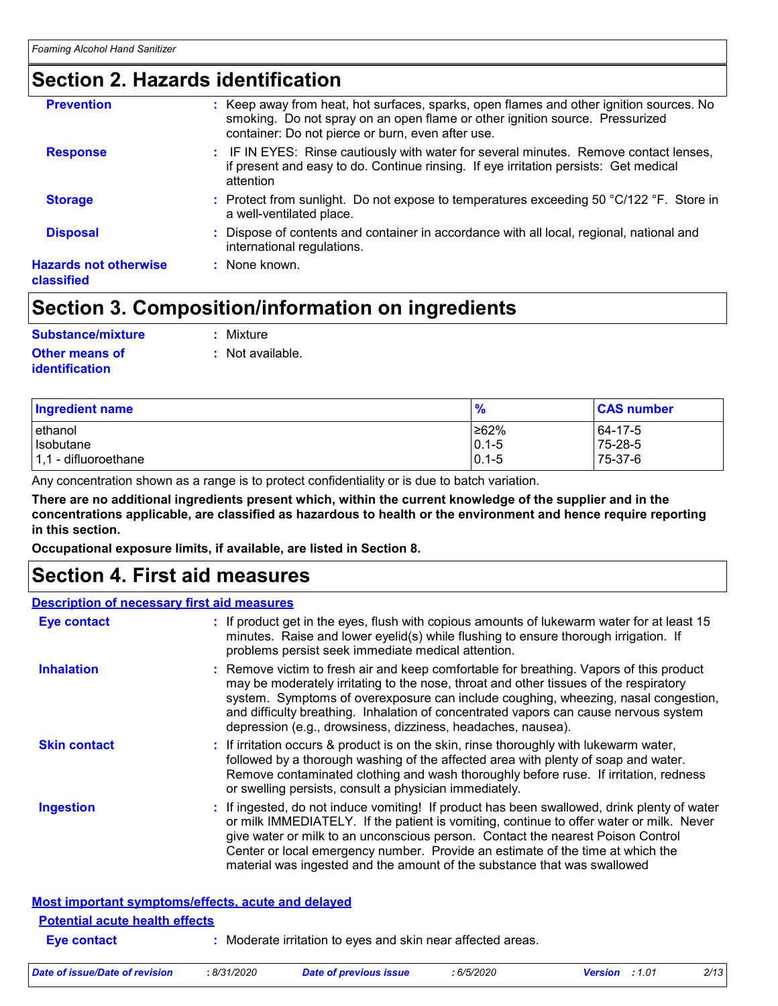# **Section 2. Hazards identification**

| <b>Prevention</b>                          | : Keep away from heat, hot surfaces, sparks, open flames and other ignition sources. No<br>smoking. Do not spray on an open flame or other ignition source. Pressurized<br>container: Do not pierce or burn, even after use. |
|--------------------------------------------|------------------------------------------------------------------------------------------------------------------------------------------------------------------------------------------------------------------------------|
| <b>Response</b>                            | : IF IN EYES: Rinse cautiously with water for several minutes. Remove contact lenses,<br>if present and easy to do. Continue rinsing. If eye irritation persists: Get medical<br>attention                                   |
| <b>Storage</b>                             | : Protect from sunlight. Do not expose to temperatures exceeding 50 °C/122 °F. Store in<br>a well-ventilated place.                                                                                                          |
| <b>Disposal</b>                            | : Dispose of contents and container in accordance with all local, regional, national and<br>international regulations.                                                                                                       |
| <b>Hazards not otherwise</b><br>classified | : None known.                                                                                                                                                                                                                |

# **Section 3. Composition/information on ingredients**

#### **Substance/mixture :** Mixture

**Other means of identification**

**:** Not available.

| <b>Ingredient name</b> | $\frac{9}{6}$ | <b>CAS number</b> |
|------------------------|---------------|-------------------|
| lethanol               | ≥62%          | 64-17-5           |
| Isobutane              | $ 0.1 - 5$    | 75-28-5           |
| $1,1$ - difluoroethane | $0.1 - 5$     | 75-37-6           |

Any concentration shown as a range is to protect confidentiality or is due to batch variation.

**There are no additional ingredients present which, within the current knowledge of the supplier and in the concentrations applicable, are classified as hazardous to health or the environment and hence require reporting in this section.**

**Occupational exposure limits, if available, are listed in Section 8.**

## **Section 4. First aid measures**

#### **Description of necessary first aid measures**

| <b>Potential acute health effects</b><br>Eye contact | : Moderate irritation to eyes and skin near affected areas.                                                                                                                                                                                                                                                                                                                                                                             |
|------------------------------------------------------|-----------------------------------------------------------------------------------------------------------------------------------------------------------------------------------------------------------------------------------------------------------------------------------------------------------------------------------------------------------------------------------------------------------------------------------------|
|                                                      | <b>Most important symptoms/effects, acute and delayed</b>                                                                                                                                                                                                                                                                                                                                                                               |
| <b>Ingestion</b>                                     | : If ingested, do not induce vomiting! If product has been swallowed, drink plenty of water<br>or milk IMMEDIATELY. If the patient is vomiting, continue to offer water or milk. Never<br>give water or milk to an unconscious person. Contact the nearest Poison Control<br>Center or local emergency number. Provide an estimate of the time at which the<br>material was ingested and the amount of the substance that was swallowed |
| <b>Skin contact</b>                                  | : If irritation occurs & product is on the skin, rinse thoroughly with lukewarm water,<br>followed by a thorough washing of the affected area with plenty of soap and water.<br>Remove contaminated clothing and wash thoroughly before ruse. If irritation, redness<br>or swelling persists, consult a physician immediately.                                                                                                          |
| <b>Inhalation</b>                                    | : Remove victim to fresh air and keep comfortable for breathing. Vapors of this product<br>may be moderately irritating to the nose, throat and other tissues of the respiratory<br>system. Symptoms of overexposure can include coughing, wheezing, nasal congestion,<br>and difficulty breathing. Inhalation of concentrated vapors can cause nervous system<br>depression (e.g., drowsiness, dizziness, headaches, nausea).          |
| <b>Eye contact</b>                                   | : If product get in the eyes, flush with copious amounts of lukewarm water for at least 15<br>minutes. Raise and lower eyelid(s) while flushing to ensure thorough irrigation. If<br>problems persist seek immediate medical attention.                                                                                                                                                                                                 |

| Date of issue/Date of revision<br>8/31/2020 | Date of previous issue | 6/5/2020 | <b>Version</b> : 1.01 | 2/13 |
|---------------------------------------------|------------------------|----------|-----------------------|------|
|---------------------------------------------|------------------------|----------|-----------------------|------|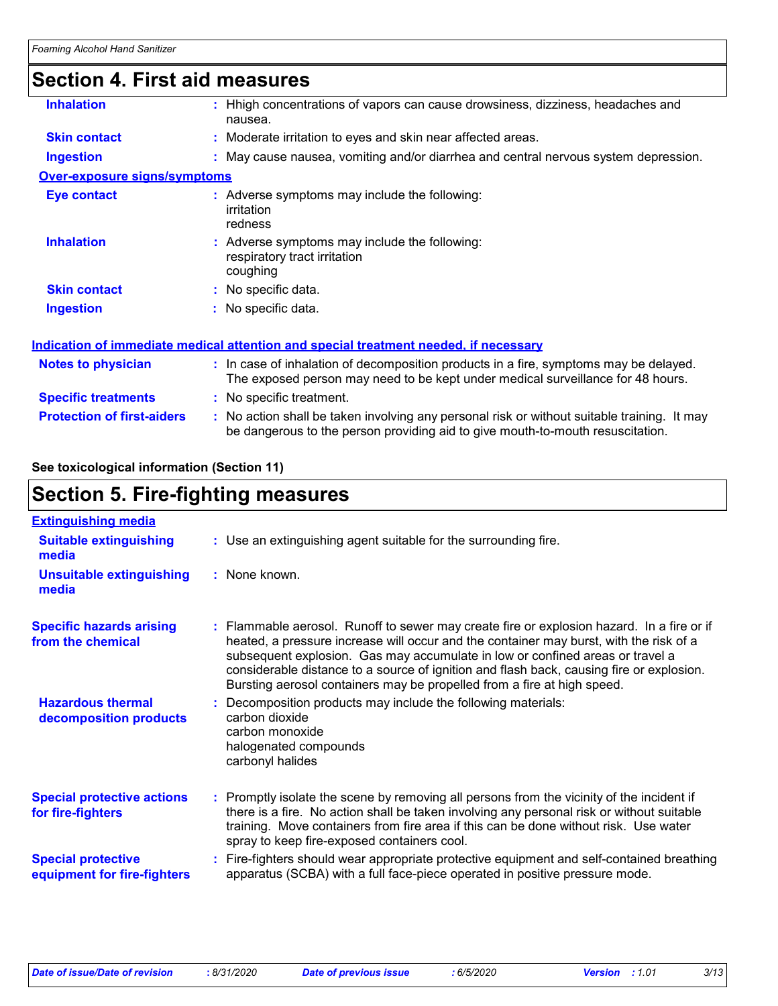# **Section 4. First aid measures**

| <b>Inhalation</b>                   | : Hhigh concentrations of vapors can cause drowsiness, dizziness, headaches and<br>nausea.                                                                                    |
|-------------------------------------|-------------------------------------------------------------------------------------------------------------------------------------------------------------------------------|
| <b>Skin contact</b>                 | : Moderate irritation to eyes and skin near affected areas.                                                                                                                   |
| <b>Ingestion</b>                    | : May cause nausea, vomiting and/or diarrhea and central nervous system depression.                                                                                           |
| <u>Over-exposure signs/symptoms</u> |                                                                                                                                                                               |
| Eye contact                         | : Adverse symptoms may include the following:<br>irritation<br>redness                                                                                                        |
| <b>Inhalation</b>                   | : Adverse symptoms may include the following:<br>respiratory tract irritation<br>coughing                                                                                     |
| <b>Skin contact</b>                 | : No specific data.                                                                                                                                                           |
| <b>Ingestion</b>                    | No specific data.                                                                                                                                                             |
|                                     | <u>Indication of immediate medical attention and special treatment needed, if necessary</u>                                                                                   |
| <b>Notes to physician</b>           | : In case of inhalation of decomposition products in a fire, symptoms may be delayed.<br>The exposed person may need to be kept under medical surveillance for 48 hours.      |
| <b>Specific treatments</b>          | : No specific treatment.                                                                                                                                                      |
| <b>Protection of first-aiders</b>   | : No action shall be taken involving any personal risk or without suitable training. It may<br>be dangerous to the person providing aid to give mouth-to-mouth resuscitation. |

#### **See toxicological information (Section 11)**

| <b>Section 5. Fire-fighting measures</b>                 |                                                                                                                                                                                                                                                                                                                                                                                                                                             |  |
|----------------------------------------------------------|---------------------------------------------------------------------------------------------------------------------------------------------------------------------------------------------------------------------------------------------------------------------------------------------------------------------------------------------------------------------------------------------------------------------------------------------|--|
| <b>Extinguishing media</b>                               |                                                                                                                                                                                                                                                                                                                                                                                                                                             |  |
| <b>Suitable extinguishing</b><br>media                   | : Use an extinguishing agent suitable for the surrounding fire.                                                                                                                                                                                                                                                                                                                                                                             |  |
| <b>Unsuitable extinguishing</b><br>media                 | : None known.                                                                                                                                                                                                                                                                                                                                                                                                                               |  |
| <b>Specific hazards arising</b><br>from the chemical     | : Flammable aerosol. Runoff to sewer may create fire or explosion hazard. In a fire or if<br>heated, a pressure increase will occur and the container may burst, with the risk of a<br>subsequent explosion. Gas may accumulate in low or confined areas or travel a<br>considerable distance to a source of ignition and flash back, causing fire or explosion.<br>Bursting aerosol containers may be propelled from a fire at high speed. |  |
| <b>Hazardous thermal</b><br>decomposition products       | Decomposition products may include the following materials:<br>carbon dioxide<br>carbon monoxide<br>halogenated compounds<br>carbonyl halides                                                                                                                                                                                                                                                                                               |  |
| <b>Special protective actions</b><br>for fire-fighters   | : Promptly isolate the scene by removing all persons from the vicinity of the incident if<br>there is a fire. No action shall be taken involving any personal risk or without suitable<br>training. Move containers from fire area if this can be done without risk. Use water<br>spray to keep fire-exposed containers cool.                                                                                                               |  |
| <b>Special protective</b><br>equipment for fire-fighters | Fire-fighters should wear appropriate protective equipment and self-contained breathing<br>apparatus (SCBA) with a full face-piece operated in positive pressure mode.                                                                                                                                                                                                                                                                      |  |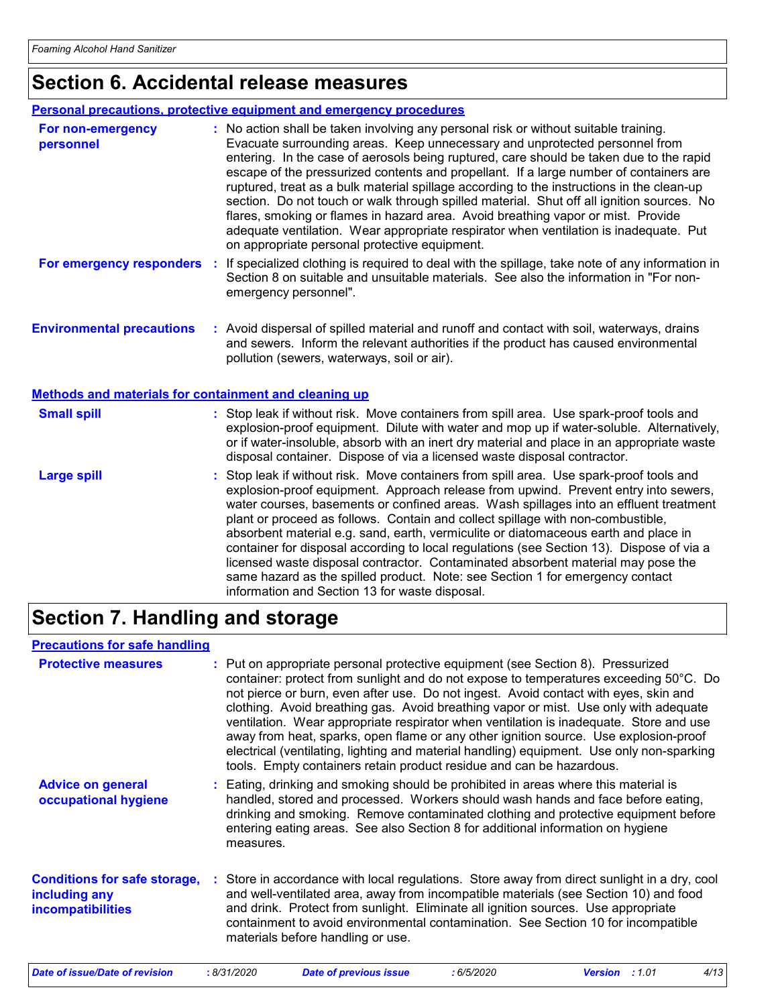# **Section 6. Accidental release measures**

#### **Personal precautions, protective equipment and emergency procedures**

| For non-emergency<br>personnel                               |    | : No action shall be taken involving any personal risk or without suitable training.<br>Evacuate surrounding areas. Keep unnecessary and unprotected personnel from<br>entering. In the case of aerosols being ruptured, care should be taken due to the rapid<br>escape of the pressurized contents and propellant. If a large number of containers are<br>ruptured, treat as a bulk material spillage according to the instructions in the clean-up<br>section. Do not touch or walk through spilled material. Shut off all ignition sources. No<br>flares, smoking or flames in hazard area. Avoid breathing vapor or mist. Provide<br>adequate ventilation. Wear appropriate respirator when ventilation is inadequate. Put<br>on appropriate personal protective equipment. |
|--------------------------------------------------------------|----|----------------------------------------------------------------------------------------------------------------------------------------------------------------------------------------------------------------------------------------------------------------------------------------------------------------------------------------------------------------------------------------------------------------------------------------------------------------------------------------------------------------------------------------------------------------------------------------------------------------------------------------------------------------------------------------------------------------------------------------------------------------------------------|
| For emergency responders                                     | ÷. | If specialized clothing is required to deal with the spillage, take note of any information in<br>Section 8 on suitable and unsuitable materials. See also the information in "For non-<br>emergency personnel".                                                                                                                                                                                                                                                                                                                                                                                                                                                                                                                                                                 |
| <b>Environmental precautions</b>                             |    | : Avoid dispersal of spilled material and runoff and contact with soil, waterways, drains<br>and sewers. Inform the relevant authorities if the product has caused environmental<br>pollution (sewers, waterways, soil or air).                                                                                                                                                                                                                                                                                                                                                                                                                                                                                                                                                  |
| <b>Methods and materials for containment and cleaning up</b> |    |                                                                                                                                                                                                                                                                                                                                                                                                                                                                                                                                                                                                                                                                                                                                                                                  |
| <b>Small spill</b>                                           |    | : Stop leak if without risk. Move containers from spill area. Use spark-proof tools and<br>explosion-proof equipment. Dilute with water and mop up if water-soluble. Alternatively,<br>or if water-insoluble, absorb with an inert dry material and place in an appropriate waste<br>disposal container. Dispose of via a licensed waste disposal contractor.                                                                                                                                                                                                                                                                                                                                                                                                                    |
| <b>Large spill</b>                                           |    | : Stop leak if without risk. Move containers from spill area. Use spark-proof tools and<br>explosion-proof equipment. Approach release from upwind. Prevent entry into sewers,<br>water courses, basements or confined areas. Wash spillages into an effluent treatment<br>plant or proceed as follows. Contain and collect spillage with non-combustible,<br>absorbent material e.g. sand, earth, vermiculite or diatomaceous earth and place in<br>container for disposal according to local regulations (see Section 13). Dispose of via a<br>licensed waste disposal contractor. Contaminated absorbent material may pose the<br>same hazard as the spilled product. Note: see Section 1 for emergency contact<br>information and Section 13 for waste disposal.             |

# **Section 7. Handling and storage**

#### **Precautions for safe handling**

| <b>Protective measures</b>                                                       | : Put on appropriate personal protective equipment (see Section 8). Pressurized<br>container: protect from sunlight and do not expose to temperatures exceeding 50°C. Do<br>not pierce or burn, even after use. Do not ingest. Avoid contact with eyes, skin and<br>clothing. Avoid breathing gas. Avoid breathing vapor or mist. Use only with adequate<br>ventilation. Wear appropriate respirator when ventilation is inadequate. Store and use<br>away from heat, sparks, open flame or any other ignition source. Use explosion-proof<br>electrical (ventilating, lighting and material handling) equipment. Use only non-sparking<br>tools. Empty containers retain product residue and can be hazardous. |
|----------------------------------------------------------------------------------|-----------------------------------------------------------------------------------------------------------------------------------------------------------------------------------------------------------------------------------------------------------------------------------------------------------------------------------------------------------------------------------------------------------------------------------------------------------------------------------------------------------------------------------------------------------------------------------------------------------------------------------------------------------------------------------------------------------------|
| <b>Advice on general</b><br>occupational hygiene                                 | : Eating, drinking and smoking should be prohibited in areas where this material is<br>handled, stored and processed. Workers should wash hands and face before eating,<br>drinking and smoking. Remove contaminated clothing and protective equipment before<br>entering eating areas. See also Section 8 for additional information on hygiene<br>measures.                                                                                                                                                                                                                                                                                                                                                   |
| <b>Conditions for safe storage,</b><br>including any<br><b>incompatibilities</b> | Store in accordance with local regulations. Store away from direct sunlight in a dry, cool<br>and well-ventilated area, away from incompatible materials (see Section 10) and food<br>and drink. Protect from sunlight. Eliminate all ignition sources. Use appropriate<br>containment to avoid environmental contamination. See Section 10 for incompatible<br>materials before handling or use.                                                                                                                                                                                                                                                                                                               |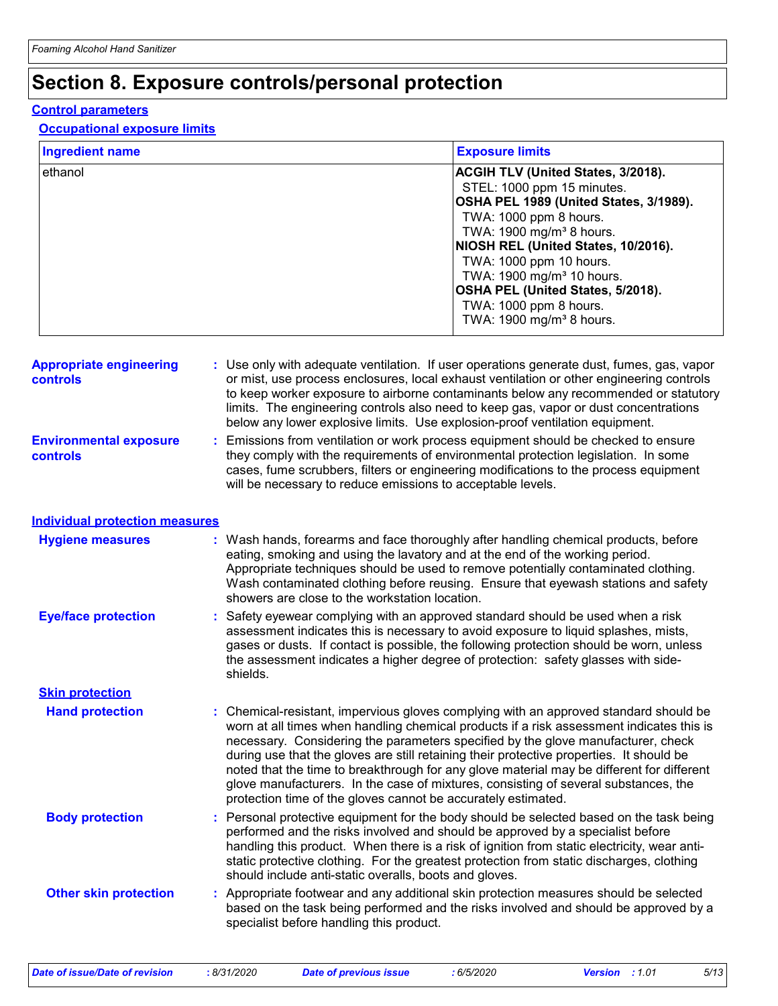# **Section 8. Exposure controls/personal protection**

#### **Control parameters**

#### **Occupational exposure limits**

| <b>Ingredient name</b> | <b>Exposure limits</b>                                                                                                                                                                                                                                |
|------------------------|-------------------------------------------------------------------------------------------------------------------------------------------------------------------------------------------------------------------------------------------------------|
| ethanol                | <b>ACGIH TLV (United States, 3/2018).</b><br>STEL: 1000 ppm 15 minutes.<br>OSHA PEL 1989 (United States, 3/1989).<br>TWA: 1000 ppm 8 hours.<br>TWA: 1900 mg/m <sup>3</sup> 8 hours.<br>NIOSH REL (United States, 10/2016).<br>TWA: 1000 ppm 10 hours. |
|                        | TWA: 1900 mg/m <sup>3</sup> 10 hours.<br>OSHA PEL (United States, 5/2018).<br>TWA: 1000 ppm 8 hours.<br>TWA: 1900 mg/m <sup>3</sup> 8 hours.                                                                                                          |

| <b>Appropriate engineering</b><br><b>controls</b><br><b>Environmental exposure</b><br>controls | ÷. | : Use only with adequate ventilation. If user operations generate dust, fumes, gas, vapor<br>or mist, use process enclosures, local exhaust ventilation or other engineering controls<br>to keep worker exposure to airborne contaminants below any recommended or statutory<br>limits. The engineering controls also need to keep gas, vapor or dust concentrations<br>below any lower explosive limits. Use explosion-proof ventilation equipment.<br>Emissions from ventilation or work process equipment should be checked to ensure<br>they comply with the requirements of environmental protection legislation. In some<br>cases, fume scrubbers, filters or engineering modifications to the process equipment<br>will be necessary to reduce emissions to acceptable levels. |
|------------------------------------------------------------------------------------------------|----|---------------------------------------------------------------------------------------------------------------------------------------------------------------------------------------------------------------------------------------------------------------------------------------------------------------------------------------------------------------------------------------------------------------------------------------------------------------------------------------------------------------------------------------------------------------------------------------------------------------------------------------------------------------------------------------------------------------------------------------------------------------------------------------|
| <b>Individual protection measures</b>                                                          |    |                                                                                                                                                                                                                                                                                                                                                                                                                                                                                                                                                                                                                                                                                                                                                                                       |
| <b>Hygiene measures</b>                                                                        |    | : Wash hands, forearms and face thoroughly after handling chemical products, before<br>eating, smoking and using the lavatory and at the end of the working period.<br>Appropriate techniques should be used to remove potentially contaminated clothing.<br>Wash contaminated clothing before reusing. Ensure that eyewash stations and safety<br>showers are close to the workstation location.                                                                                                                                                                                                                                                                                                                                                                                     |
| <b>Eye/face protection</b>                                                                     |    | : Safety eyewear complying with an approved standard should be used when a risk<br>assessment indicates this is necessary to avoid exposure to liquid splashes, mists,<br>gases or dusts. If contact is possible, the following protection should be worn, unless<br>the assessment indicates a higher degree of protection: safety glasses with side-<br>shields.                                                                                                                                                                                                                                                                                                                                                                                                                    |
| <b>Skin protection</b>                                                                         |    |                                                                                                                                                                                                                                                                                                                                                                                                                                                                                                                                                                                                                                                                                                                                                                                       |
| <b>Hand protection</b>                                                                         |    | : Chemical-resistant, impervious gloves complying with an approved standard should be<br>worn at all times when handling chemical products if a risk assessment indicates this is<br>necessary. Considering the parameters specified by the glove manufacturer, check<br>during use that the gloves are still retaining their protective properties. It should be<br>noted that the time to breakthrough for any glove material may be different for different<br>glove manufacturers. In the case of mixtures, consisting of several substances, the<br>protection time of the gloves cannot be accurately estimated.                                                                                                                                                                |
| <b>Body protection</b>                                                                         | ÷. | Personal protective equipment for the body should be selected based on the task being<br>performed and the risks involved and should be approved by a specialist before<br>handling this product. When there is a risk of ignition from static electricity, wear anti-<br>static protective clothing. For the greatest protection from static discharges, clothing<br>should include anti-static overalls, boots and gloves.                                                                                                                                                                                                                                                                                                                                                          |
| <b>Other skin protection</b>                                                                   |    | : Appropriate footwear and any additional skin protection measures should be selected<br>based on the task being performed and the risks involved and should be approved by a<br>specialist before handling this product.                                                                                                                                                                                                                                                                                                                                                                                                                                                                                                                                                             |

*Date of issue/Date of revision* **:** *8/31/2020 Date of previous issue : 6/5/2020 Version : 1.01 5/13*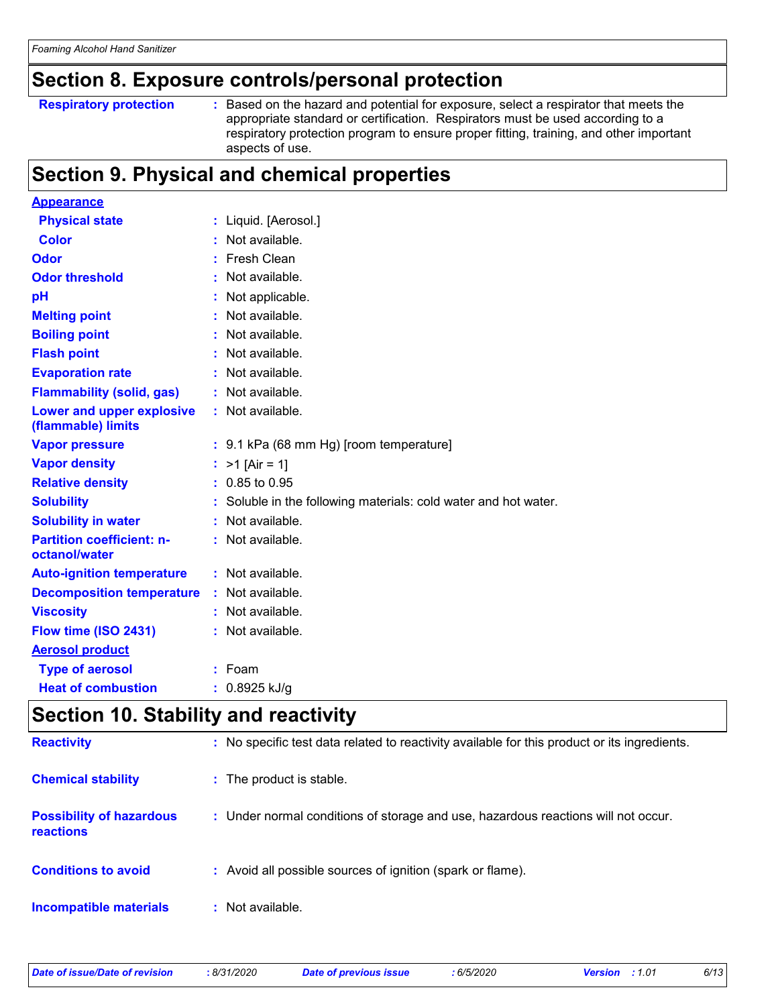# **Section 8. Exposure controls/personal protection**

```
Respiratory protection :
```
: Based on the hazard and potential for exposure, select a respirator that meets the appropriate standard or certification. Respirators must be used according to a respiratory protection program to ensure proper fitting, training, and other important aspects of use.

# **Section 9. Physical and chemical properties**

| <b>Appearance</b>                                 |                                                                 |
|---------------------------------------------------|-----------------------------------------------------------------|
| <b>Physical state</b>                             | : Liquid. [Aerosol.]                                            |
| Color                                             | Not available.                                                  |
| Odor                                              | Fresh Clean                                                     |
| <b>Odor threshold</b>                             | Not available.                                                  |
| pH                                                | Not applicable.                                                 |
| <b>Melting point</b>                              | Not available.                                                  |
| <b>Boiling point</b>                              | Not available.                                                  |
| <b>Flash point</b>                                | Not available.                                                  |
| <b>Evaporation rate</b>                           | Not available.                                                  |
| <b>Flammability (solid, gas)</b>                  | : Not available.                                                |
| Lower and upper explosive<br>(flammable) limits   | : Not available.                                                |
| <b>Vapor pressure</b>                             | : 9.1 kPa (68 mm Hg) [room temperature]                         |
| <b>Vapor density</b>                              | : $>1$ [Air = 1]                                                |
| <b>Relative density</b>                           | $: 0.85$ to 0.95                                                |
| <b>Solubility</b>                                 | : Soluble in the following materials: cold water and hot water. |
| <b>Solubility in water</b>                        | : Not available.                                                |
| <b>Partition coefficient: n-</b><br>octanol/water | : Not available.                                                |
| <b>Auto-ignition temperature</b>                  | : Not available.                                                |
| <b>Decomposition temperature</b>                  | Not available.                                                  |
| <b>Viscosity</b>                                  | $:$ Not available.                                              |
| Flow time (ISO 2431)                              | Not available.                                                  |
| <b>Aerosol product</b>                            |                                                                 |
| <b>Type of aerosol</b>                            | $:$ Foam                                                        |
| <b>Heat of combustion</b>                         | 0.8925 kJ/g                                                     |
|                                                   |                                                                 |

### **Section 10. Stability and reactivity**

| <b>Reactivity</b>                                   | : No specific test data related to reactivity available for this product or its ingredients. |
|-----------------------------------------------------|----------------------------------------------------------------------------------------------|
| <b>Chemical stability</b>                           | : The product is stable.                                                                     |
| <b>Possibility of hazardous</b><br><b>reactions</b> | : Under normal conditions of storage and use, hazardous reactions will not occur.            |
| <b>Conditions to avoid</b>                          | : Avoid all possible sources of ignition (spark or flame).                                   |
| <b>Incompatible materials</b>                       | : Not available.                                                                             |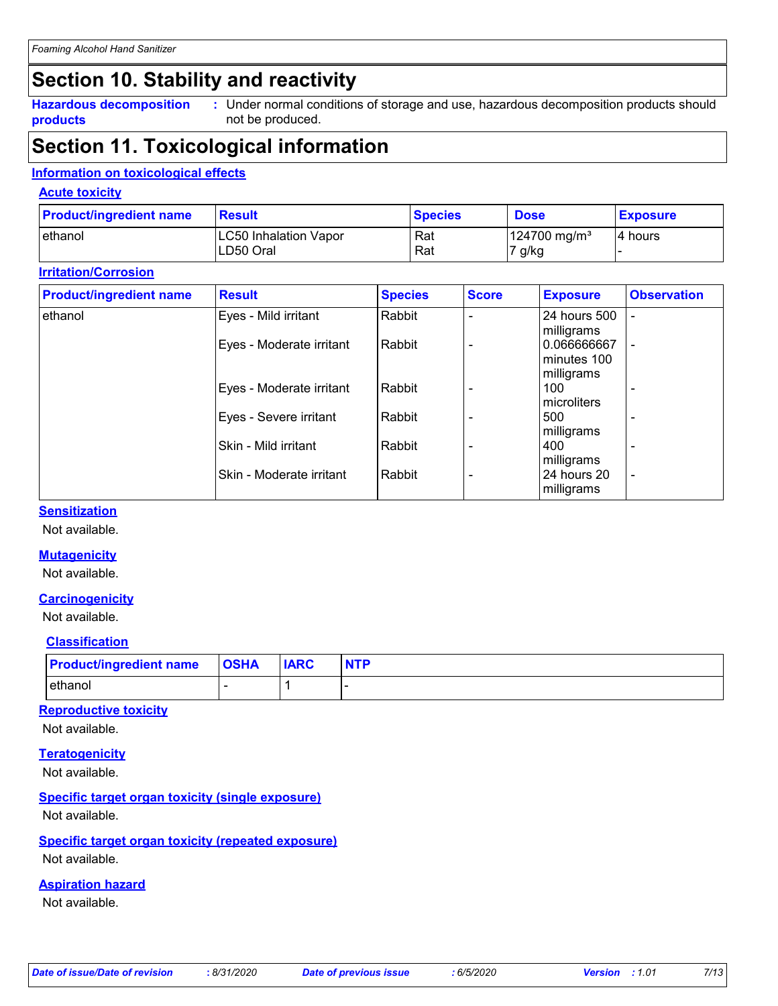# **Section 10. Stability and reactivity**

**Hazardous decomposition products**

Under normal conditions of storage and use, hazardous decomposition products should **:** not be produced.

# **Section 11. Toxicological information**

#### **Information on toxicological effects**

#### **Acute toxicity**

| <b>Product/ingredient name</b> | <b>Result</b>                | <b>Species</b> | <b>Dose</b>              | <b>Exposure</b> |
|--------------------------------|------------------------------|----------------|--------------------------|-----------------|
| lethanol                       | <b>LC50 Inhalation Vapor</b> | Rat            | 124700 mg/m <sup>3</sup> | 4 hours         |
|                                | LD50 Oral                    | Rat            | 7 g/kg                   |                 |

#### **Irritation/Corrosion**

| <b>Product/ingredient name</b> | <b>Result</b>            | <b>Species</b> | <b>Score</b> | <b>Exposure</b>           | <b>Observation</b>       |
|--------------------------------|--------------------------|----------------|--------------|---------------------------|--------------------------|
| ethanol                        | Eyes - Mild irritant     | Rabbit         |              | 24 hours 500              |                          |
|                                | Eyes - Moderate irritant | Rabbit         |              | milligrams<br>0.066666667 |                          |
|                                |                          |                |              | minutes 100<br>milligrams |                          |
|                                | Eyes - Moderate irritant | Rabbit         |              | 100<br>microliters        |                          |
|                                | Eyes - Severe irritant   | Rabbit         |              | 500                       |                          |
|                                | Skin - Mild irritant     | Rabbit         |              | milligrams<br>400         |                          |
|                                | Skin - Moderate irritant | Rabbit         |              | milligrams<br>24 hours 20 | $\overline{\phantom{a}}$ |
|                                |                          |                |              | milligrams                |                          |

#### **Sensitization**

Not available.

#### **Mutagenicity**

Not available.

#### **Carcinogenicity**

Not available.

#### **Classification**

| <b>Product/ingredient name OSHA</b> | <b>IARC</b> |  |
|-------------------------------------|-------------|--|
| ethanol                             |             |  |

#### **Reproductive toxicity**

Not available.

### **Teratogenicity**

Not available.

#### **Specific target organ toxicity (single exposure)**

Not available.

#### **Specific target organ toxicity (repeated exposure)**

Not available.

#### **Aspiration hazard**

Not available.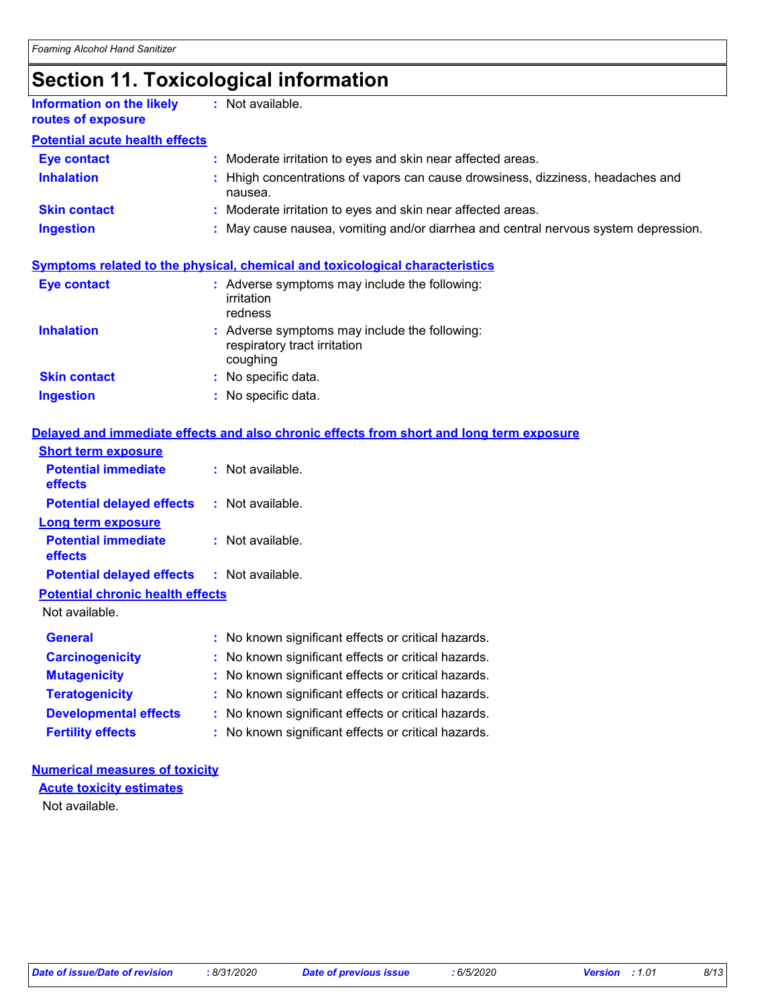# **Section 11. Toxicological information**

| <b>Information on the likely</b><br>routes of exposure | $:$ Not available.                                                                         |
|--------------------------------------------------------|--------------------------------------------------------------------------------------------|
| <b>Potential acute health effects</b>                  |                                                                                            |
| <b>Eye contact</b>                                     | : Moderate irritation to eyes and skin near affected areas.                                |
| <b>Inhalation</b>                                      | : Hhigh concentrations of vapors can cause drowsiness, dizziness, headaches and<br>nausea. |
| <b>Skin contact</b>                                    | : Moderate irritation to eyes and skin near affected areas.                                |
| <b>Ingestion</b>                                       | : May cause nausea, vomiting and/or diarrhea and central nervous system depression.        |
|                                                        |                                                                                            |

### **Symptoms related to the physical, chemical and toxicological characteristics**

| <b>Eye contact</b>  | : Adverse symptoms may include the following:<br>irritation<br>redness                    |
|---------------------|-------------------------------------------------------------------------------------------|
| <b>Inhalation</b>   | : Adverse symptoms may include the following:<br>respiratory tract irritation<br>coughing |
| <b>Skin contact</b> | : No specific data.                                                                       |
| <b>Ingestion</b>    | : No specific data.                                                                       |

#### **Delayed and immediate effects and also chronic effects from short and long term exposure**

| <b>Short term exposure</b>              |                                                     |
|-----------------------------------------|-----------------------------------------------------|
| <b>Potential immediate</b><br>effects   | $:$ Not available.                                  |
| <b>Potential delayed effects</b>        | $:$ Not available.                                  |
| <b>Long term exposure</b>               |                                                     |
| <b>Potential immediate</b><br>effects   | $:$ Not available.                                  |
| <b>Potential delayed effects</b>        | : Not available.                                    |
| <b>Potential chronic health effects</b> |                                                     |
| Not available.                          |                                                     |
| <b>General</b>                          | : No known significant effects or critical hazards. |
| <b>Carcinogenicity</b>                  | : No known significant effects or critical hazards. |
| <b>Mutagenicity</b>                     | No known significant effects or critical hazards.   |
| <b>Teratogenicity</b>                   | No known significant effects or critical hazards.   |
| <b>Developmental effects</b>            | No known significant effects or critical hazards.   |
| <b>Fertility effects</b>                | No known significant effects or critical hazards.   |

#### **Numerical measures of toxicity**

Not available. **Acute toxicity estimates**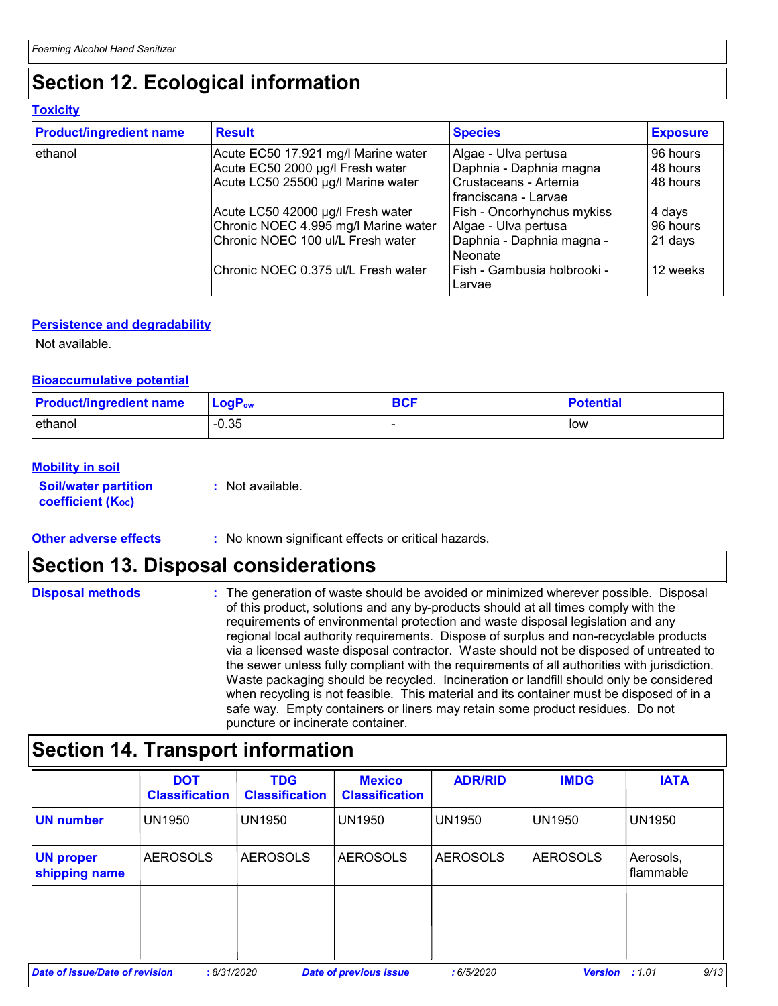# **Section 12. Ecological information**

#### **Toxicity**

| <b>Product/ingredient name</b> | <b>Result</b>                        | <b>Species</b>                                  | <b>Exposure</b> |
|--------------------------------|--------------------------------------|-------------------------------------------------|-----------------|
| ethanol                        | Acute EC50 17.921 mg/l Marine water  | Algae - Ulva pertusa                            | 96 hours        |
|                                | Acute EC50 2000 µg/l Fresh water     | Daphnia - Daphnia magna                         | 48 hours        |
|                                | Acute LC50 25500 µg/l Marine water   | Crustaceans - Artemia<br>I franciscana - Larvae | 48 hours        |
|                                | Acute LC50 42000 µg/l Fresh water    | Fish - Oncorhynchus mykiss                      | 4 days          |
|                                | Chronic NOEC 4.995 mg/l Marine water | Algae - Ulva pertusa                            | 96 hours        |
|                                | Chronic NOEC 100 ul/L Fresh water    | Daphnia - Daphnia magna -<br>Neonate            | 21 days         |
|                                | Chronic NOEC 0.375 ul/L Fresh water  | Fish - Gambusia holbrooki -<br>Larvae           | 12 weeks        |

#### **Persistence and degradability**

Not available.

#### **Bioaccumulative potential**

| <b>Product/ingredient name</b> | <b>LogP</b> <sub>ow</sub> | <b>BCF</b> | <b>Potential</b> |
|--------------------------------|---------------------------|------------|------------------|
| ethanol                        | $-0.35$                   |            | low              |

#### **Mobility in soil**

**Soil/water partition coefficient (KOC)**

**:** Not available.

#### **Other adverse effects** : No known significant effects or critical hazards.

### **Section 13. Disposal considerations**

**Disposal methods :**

The generation of waste should be avoided or minimized wherever possible. Disposal of this product, solutions and any by-products should at all times comply with the requirements of environmental protection and waste disposal legislation and any regional local authority requirements. Dispose of surplus and non-recyclable products via a licensed waste disposal contractor. Waste should not be disposed of untreated to the sewer unless fully compliant with the requirements of all authorities with jurisdiction. Waste packaging should be recycled. Incineration or landfill should only be considered when recycling is not feasible. This material and its container must be disposed of in a safe way. Empty containers or liners may retain some product residues. Do not puncture or incinerate container.

# **Section 14. Transport information**

|                                   | <b>DOT</b><br><b>Classification</b> | <b>TDG</b><br><b>Classification</b> | <b>Mexico</b><br><b>Classification</b> | <b>ADR/RID</b>  | <b>IMDG</b>     | <b>IATA</b>            |
|-----------------------------------|-------------------------------------|-------------------------------------|----------------------------------------|-----------------|-----------------|------------------------|
| <b>UN number</b>                  | <b>UN1950</b>                       | <b>UN1950</b>                       | <b>UN1950</b>                          | <b>UN1950</b>   | UN1950          | <b>UN1950</b>          |
| <b>UN proper</b><br>shipping name | <b>AEROSOLS</b>                     | <b>AEROSOLS</b>                     | <b>AEROSOLS</b>                        | <b>AEROSOLS</b> | <b>AEROSOLS</b> | Aerosols,<br>flammable |
|                                   |                                     |                                     |                                        |                 |                 |                        |
|                                   |                                     |                                     |                                        |                 |                 |                        |
| Date of issue/Date of revision    | :8/31/2020                          |                                     | <b>Date of previous issue</b>          | :6/5/2020       | <b>Version</b>  | 9/13<br>:1.01          |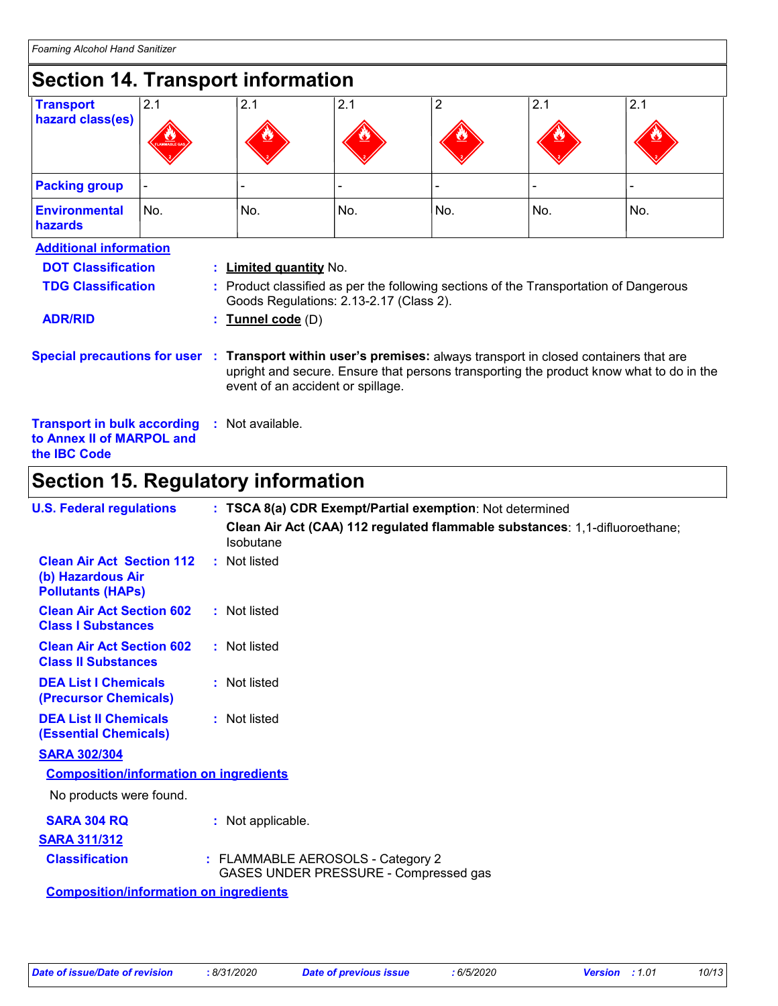| <b>Section 14. Transport information</b> |                                                                                                                                                                                                                                                                 |                                                                                                                                  |     |                |     |     |  |
|------------------------------------------|-----------------------------------------------------------------------------------------------------------------------------------------------------------------------------------------------------------------------------------------------------------------|----------------------------------------------------------------------------------------------------------------------------------|-----|----------------|-----|-----|--|
| <b>Transport</b>                         | 2.1                                                                                                                                                                                                                                                             | 2.1                                                                                                                              | 2.1 | $\overline{2}$ | 2.1 | 2.1 |  |
| hazard class(es)                         |                                                                                                                                                                                                                                                                 |                                                                                                                                  |     |                |     |     |  |
| <b>Packing group</b>                     |                                                                                                                                                                                                                                                                 |                                                                                                                                  |     |                |     |     |  |
| <b>Environmental</b><br>hazards          | No.                                                                                                                                                                                                                                                             | No.                                                                                                                              | No. | No.            | No. | No. |  |
| <b>Additional information</b>            |                                                                                                                                                                                                                                                                 |                                                                                                                                  |     |                |     |     |  |
| <b>DOT Classification</b>                |                                                                                                                                                                                                                                                                 | : Limited quantity No.                                                                                                           |     |                |     |     |  |
| <b>TDG Classification</b>                |                                                                                                                                                                                                                                                                 | : Product classified as per the following sections of the Transportation of Dangerous<br>Goods Regulations: 2.13-2.17 (Class 2). |     |                |     |     |  |
| <b>ADR/RID</b>                           |                                                                                                                                                                                                                                                                 | Tunnel code (D)                                                                                                                  |     |                |     |     |  |
|                                          | <b>Special precautions for user</b><br>Transport within user's premises: always transport in closed containers that are<br>- 10<br>upright and secure. Ensure that persons transporting the product know what to do in the<br>event of an accident or spillage. |                                                                                                                                  |     |                |     |     |  |
| <b>Transport in bulk according</b>       | to Annex II of MARPOL and                                                                                                                                                                                                                                       | : Not available.                                                                                                                 |     |                |     |     |  |

## **Section 15. Regulatory information**

| <b>U.S. Federal regulations</b>                                                   | : TSCA 8(a) CDR Exempt/Partial exemption: Not determined                                        |
|-----------------------------------------------------------------------------------|-------------------------------------------------------------------------------------------------|
|                                                                                   | Clean Air Act (CAA) 112 regulated flammable substances: 1,1-difluoroethane;<br><b>Isobutane</b> |
| <b>Clean Air Act Section 112</b><br>(b) Hazardous Air<br><b>Pollutants (HAPs)</b> | : Not listed                                                                                    |
| <b>Clean Air Act Section 602</b><br><b>Class I Substances</b>                     | : Not listed                                                                                    |
| <b>Clean Air Act Section 602</b><br><b>Class II Substances</b>                    | : Not listed                                                                                    |
| <b>DEA List I Chemicals</b><br>(Precursor Chemicals)                              | : Not listed                                                                                    |
| <b>DEA List II Chemicals</b><br><b>(Essential Chemicals)</b>                      | : Not listed                                                                                    |
| <b>SARA 302/304</b>                                                               |                                                                                                 |
| <b>Composition/information on ingredients</b>                                     |                                                                                                 |
| No products were found.                                                           |                                                                                                 |
| <b>SARA 304 RQ</b>                                                                | : Not applicable.                                                                               |
| <b>SARA 311/312</b>                                                               |                                                                                                 |
| <b>Classification</b>                                                             | : FLAMMABLE AEROSOLS - Category 2<br>GASES UNDER PRESSURE - Compressed gas                      |
| <b>Composition/information on ingredients</b>                                     |                                                                                                 |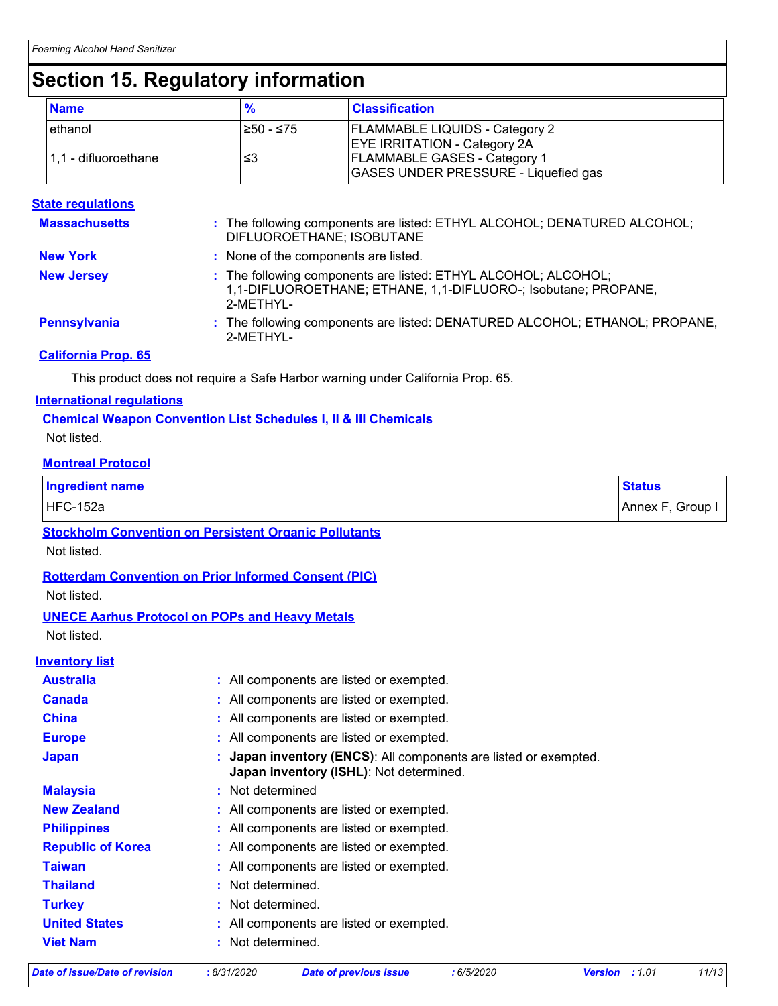# **Section 15. Regulatory information**

| <b>Name</b>          | $\frac{9}{6}$ | <b>Classification</b>                       |
|----------------------|---------------|---------------------------------------------|
| ethanol              | $≥50 - ≤75$   | <b>FLAMMABLE LIQUIDS - Category 2</b>       |
|                      |               | <b>EYE IRRITATION - Category 2A</b>         |
| 1,1 - difluoroethane | ≤3            | <b>FLAMMABLE GASES - Category 1</b>         |
|                      |               | <b>GASES UNDER PRESSURE - Liquefied gas</b> |

#### **State regulations**

| <b>Massachusetts</b> | : The following components are listed: ETHYL ALCOHOL; DENATURED ALCOHOL;<br>DIFLUOROETHANE; ISOBUTANE                                         |
|----------------------|-----------------------------------------------------------------------------------------------------------------------------------------------|
| <b>New York</b>      | : None of the components are listed.                                                                                                          |
| <b>New Jersey</b>    | : The following components are listed: ETHYL ALCOHOL; ALCOHOL;<br>1,1-DIFLUOROETHANE; ETHANE, 1,1-DIFLUORO-; Isobutane; PROPANE,<br>2-METHYL- |
| Pennsylvania         | : The following components are listed: DENATURED ALCOHOL; ETHANOL; PROPANE,<br>2-METHYL-                                                      |

#### **California Prop. 65**

This product does not require a Safe Harbor warning under California Prop. 65.

#### **International regulations**

#### **Chemical Weapon Convention List Schedules I, II & III Chemicals**

Not listed.

#### **Montreal Protocol**

| <b>Ingredient name</b> | <b>Status</b>     |  |
|------------------------|-------------------|--|
| HFC-152a               | Group,<br>Annex F |  |

**Stockholm Convention on Persistent Organic Pollutants**

Not listed.

**Rotterdam Convention on Prior Informed Consent (PIC)**

Not listed.

#### **UNECE Aarhus Protocol on POPs and Heavy Metals**

Not listed.

### **Inventory list**

| <b>Australia</b>         | : All components are listed or exempted.                                                                    |
|--------------------------|-------------------------------------------------------------------------------------------------------------|
| <b>Canada</b>            | : All components are listed or exempted.                                                                    |
| <b>China</b>             | : All components are listed or exempted.                                                                    |
| <b>Europe</b>            | : All components are listed or exempted.                                                                    |
| <b>Japan</b>             | : Japan inventory (ENCS): All components are listed or exempted.<br>Japan inventory (ISHL): Not determined. |
| <b>Malaysia</b>          | : Not determined                                                                                            |
| <b>New Zealand</b>       | : All components are listed or exempted.                                                                    |
| <b>Philippines</b>       | : All components are listed or exempted.                                                                    |
| <b>Republic of Korea</b> | : All components are listed or exempted.                                                                    |
| <b>Taiwan</b>            | : All components are listed or exempted.                                                                    |
| <b>Thailand</b>          | : Not determined.                                                                                           |
| <b>Turkey</b>            | : Not determined.                                                                                           |
| <b>United States</b>     | : All components are listed or exempted.                                                                    |
| <b>Viet Nam</b>          | : Not determined.                                                                                           |

*Date of issue/Date of revision* **:** *8/31/2020 Date of previous issue : 6/5/2020 Version : 1.01 11/13*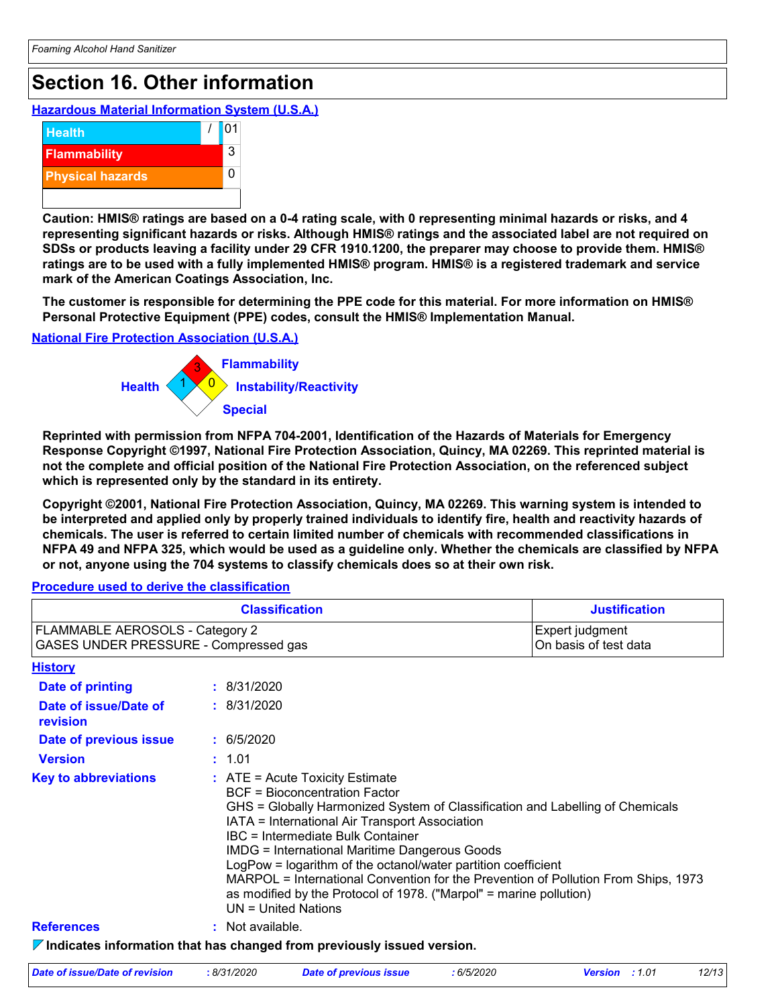# **Section 16. Other information**

**Hazardous Material Information System (U.S.A.)**



**Caution: HMIS® ratings are based on a 0-4 rating scale, with 0 representing minimal hazards or risks, and 4 representing significant hazards or risks. Although HMIS® ratings and the associated label are not required on SDSs or products leaving a facility under 29 CFR 1910.1200, the preparer may choose to provide them. HMIS® ratings are to be used with a fully implemented HMIS® program. HMIS® is a registered trademark and service mark of the American Coatings Association, Inc.**

**The customer is responsible for determining the PPE code for this material. For more information on HMIS® Personal Protective Equipment (PPE) codes, consult the HMIS® Implementation Manual.**

**National Fire Protection Association (U.S.A.)**



**Reprinted with permission from NFPA 704-2001, Identification of the Hazards of Materials for Emergency Response Copyright ©1997, National Fire Protection Association, Quincy, MA 02269. This reprinted material is not the complete and official position of the National Fire Protection Association, on the referenced subject which is represented only by the standard in its entirety.**

**Copyright ©2001, National Fire Protection Association, Quincy, MA 02269. This warning system is intended to be interpreted and applied only by properly trained individuals to identify fire, health and reactivity hazards of chemicals. The user is referred to certain limited number of chemicals with recommended classifications in NFPA 49 and NFPA 325, which would be used as a guideline only. Whether the chemicals are classified by NFPA or not, anyone using the 704 systems to classify chemicals does so at their own risk.**

#### **Procedure used to derive the classification**

|                                                                          | <b>Classification</b>                                                                                                                                                                                                                                                                                                                                                                                                                                                                                                                                           | <b>Justification</b>                     |
|--------------------------------------------------------------------------|-----------------------------------------------------------------------------------------------------------------------------------------------------------------------------------------------------------------------------------------------------------------------------------------------------------------------------------------------------------------------------------------------------------------------------------------------------------------------------------------------------------------------------------------------------------------|------------------------------------------|
| FLAMMABLE AEROSOLS - Category 2<br>GASES UNDER PRESSURE - Compressed gas |                                                                                                                                                                                                                                                                                                                                                                                                                                                                                                                                                                 | Expert judgment<br>On basis of test data |
| <b>History</b>                                                           |                                                                                                                                                                                                                                                                                                                                                                                                                                                                                                                                                                 |                                          |
| <b>Date of printing</b>                                                  | : 8/31/2020                                                                                                                                                                                                                                                                                                                                                                                                                                                                                                                                                     |                                          |
| Date of issue/Date of<br>revision                                        | : 8/31/2020                                                                                                                                                                                                                                                                                                                                                                                                                                                                                                                                                     |                                          |
| Date of previous issue                                                   | : 6/5/2020                                                                                                                                                                                                                                                                                                                                                                                                                                                                                                                                                      |                                          |
| <b>Version</b>                                                           | : 1.01                                                                                                                                                                                                                                                                                                                                                                                                                                                                                                                                                          |                                          |
| <b>Key to abbreviations</b>                                              | $:$ ATE = Acute Toxicity Estimate<br><b>BCF</b> = Bioconcentration Factor<br>GHS = Globally Harmonized System of Classification and Labelling of Chemicals<br>IATA = International Air Transport Association<br>IBC = Intermediate Bulk Container<br><b>IMDG = International Maritime Dangerous Goods</b><br>LogPow = logarithm of the octanol/water partition coefficient<br>MARPOL = International Convention for the Prevention of Pollution From Ships, 1973<br>as modified by the Protocol of 1978. ("Marpol" = marine pollution)<br>$UN = United Nations$ |                                          |
| <b>References</b>                                                        | : Not available.                                                                                                                                                                                                                                                                                                                                                                                                                                                                                                                                                |                                          |
|                                                                          | $\nabla$ Indicates information that has changed from previously issued version.                                                                                                                                                                                                                                                                                                                                                                                                                                                                                 |                                          |

| Date of issue/Date of revision<br>8/31/2020 | Date of previous issue | : 6/5/2020 | <b>Version</b> : 1.01 | 12/13 |
|---------------------------------------------|------------------------|------------|-----------------------|-------|
|---------------------------------------------|------------------------|------------|-----------------------|-------|